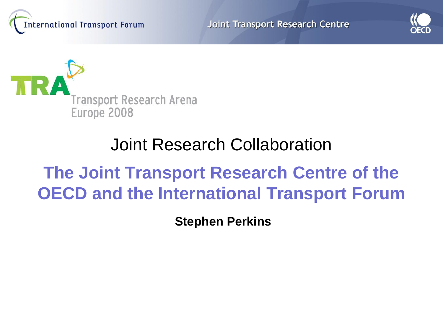





#### Joint Research Collaboration

#### **The Joint Transport Research Centre of the OECD and the International Transport Forum**

**Stephen Perkins**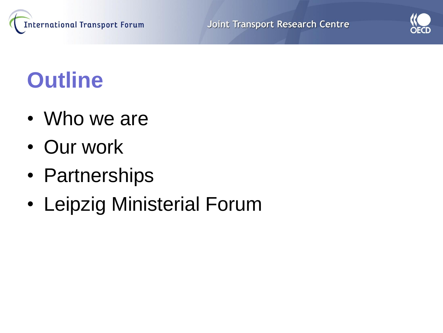



#### **Outline**

- Who we are
- Our work
- Partnerships
- Leipzig Ministerial Forum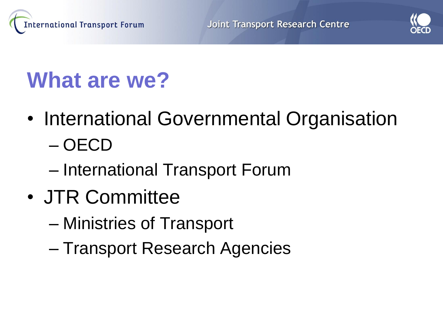



#### **What are we?**

- International Governmental Organisation – OECD
	- International Transport Forum
- JTR Committee
	- Ministries of Transport
	- Transport Research Agencies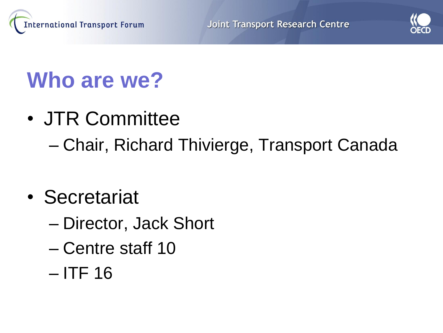



#### **Who are we?**

- JTR Committee – Chair, Richard Thivierge, Transport Canada
- Secretariat
	- Director, Jack Short
	- Centre staff 10
	- ITF 16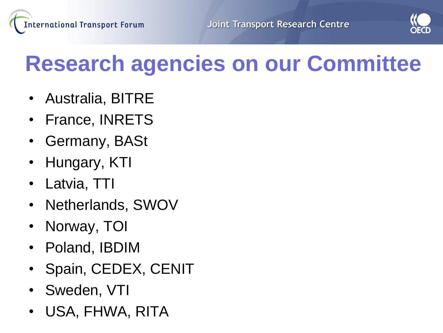



#### **Research agencies on our Committee**

- Australia, BITRE
- France, INRETS
- Germany, BASt
- Hungary, KTI
- Latvia, TTI
- Netherlands, SWOV
- Norway, TOI
- Poland, IBDIM
- Spain, CEDEX, CENIT
- Sweden, VTI
- USA, FHWA, RITA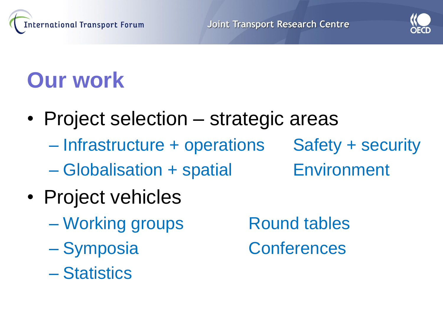



#### **Our work**

- Project selection strategic areas
	- Infrastructure + operations Safety + security
	- Globalisation + spatial Environment
- 

- Project vehicles
	- Working groups Round tables
	-
	- Statistics
	- Symposia Conferences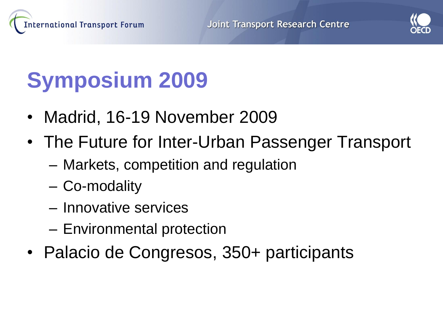



## **Symposium 2009**

- Madrid, 16-19 November 2009
- The Future for Inter-Urban Passenger Transport
	- Markets, competition and regulation
	- Co-modality
	- Innovative services
	- Environmental protection
- Palacio de Congresos, 350+ participants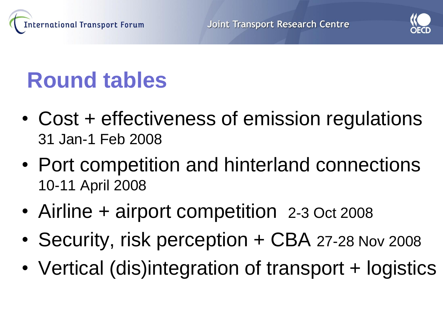



### **Round tables**

- Cost + effectiveness of emission regulations 31 Jan-1 Feb 2008
- Port competition and hinterland connections 10-11 April 2008
- Airline + airport competition 2-3 Oct 2008
- Security, risk perception + CBA 27-28 Nov 2008
- Vertical (dis)integration of transport + logistics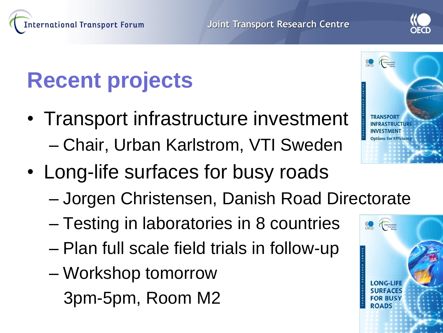



### **Recent projects**

- Transport infrastructure investment – Chair, Urban Karlstrom, VTI Sweden
- Long-life surfaces for busy roads
	- Jorgen Christensen, Danish Road Directorate
	- Testing in laboratories in 8 countries
	- Plan full scale field trials in follow-up
	- Workshop tomorrow 3pm-5pm, Room M2



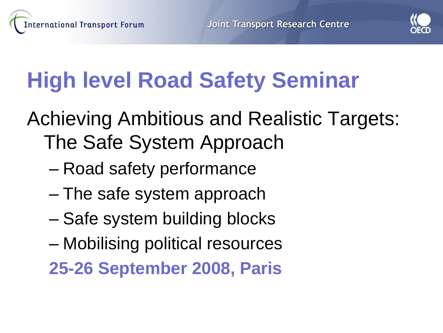



### **High level Road Safety Seminar**

- Achieving Ambitious and Realistic Targets: The Safe System Approach
	- Road safety performance
	- The safe system approach
	- Safe system building blocks
	- Mobilising political resources
	- **25-26 September 2008, Paris**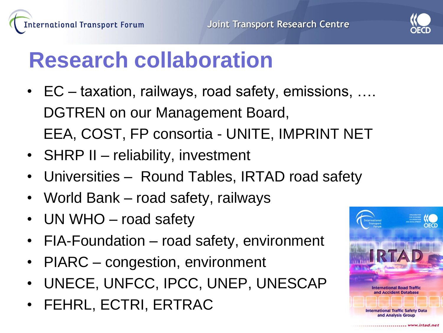



#### **Research collaboration**

- EC taxation, railways, road safety, emissions, .... DGTREN on our Management Board, EEA, COST, FP consortia - UNITE, IMPRINT NET
- SHRP II reliability, investment
- Universities Round Tables, IRTAD road safety
- World Bank road safety, railways
- UN WHO road safety
- FIA-Foundation road safety, environment
- PIARC congestion, environment
- UNECE, UNFCC, IPCC, UNEP, UNESCAP
- FEHRL, ECTRI, ERTRAC

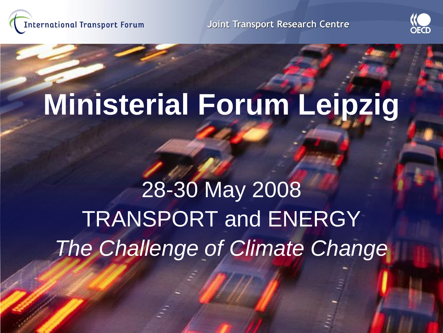

**Joint Transport Research Centre** 



# **Ministerial Forum Leipzig**

28-30 May 2008 TRANSPORT and ENERGY *The Challenge of Climate Change*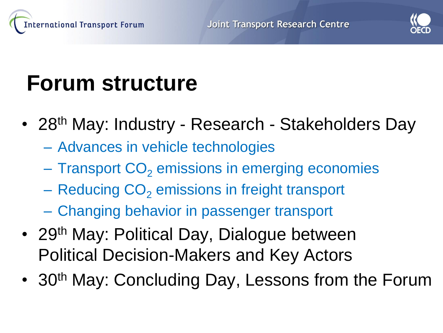



### **Forum structure**

- 28<sup>th</sup> May: Industry Research Stakeholders Day
	- Advances in vehicle technologies
	- $-$  Transport  $CO<sub>2</sub>$  emissions in emerging economies
	- $-$  Reducing  $CO<sub>2</sub>$  emissions in freight transport
	- Changing behavior in passenger transport
- 29<sup>th</sup> May: Political Day, Dialogue between Political Decision-Makers and Key Actors
- 30<sup>th</sup> May: Concluding Day, Lessons from the Forum